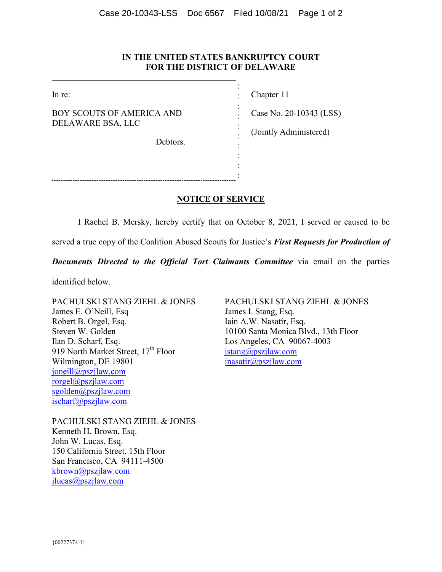## **IN THE UNITED STATES BANKRUPTCY COURT FOR THE DISTRICT OF DELAWARE**

: : : : : : : : : :

In re:

BOY SCOUTS OF AMERICA AND DELAWARE BSA, LLC

Debtors.

Chapter 11

Case No. 20-10343 (LSS)

(Jointly Administered)

**NOTICE OF SERVICE** 

I Rachel B. Mersky, hereby certify that on October 8, 2021, I served or caused to be

served a true copy of the Coalition Abused Scouts for Justice's *First Requests for Production of* 

*Documents Directed to the Official Tort Claimants Committee via email on the parties* 

identified below.

PACHULSKI STANG ZIEHL & JONES James E. O'Neill, Esq Robert B. Orgel, Esq. Steven W. Golden Ilan D. Scharf, Esq. 919 North Market Street, 17<sup>th</sup> Floor Wilmington, DE 19801 joneill@pszjlaw.com rorgel@pszjlaw.com sgolden@pszjlaw.com ischarf@pszjlaw.com

PACHULSKI STANG ZIEHL & JONES James I. Stang, Esq. Iain A.W. Nasatir, Esq. 10100 Santa Monica Blvd., 13th Floor Los Angeles, CA 90067-4003 jstang@pszjlaw.com inasatir@pszjlaw.com

PACHULSKI STANG ZIEHL & JONES Kenneth H. Brown, Esq. John W. Lucas, Esq. 150 California Street, 15th Floor San Francisco, CA 94111-4500 kbrown@pszjlaw.com jlucas@pszjlaw.com